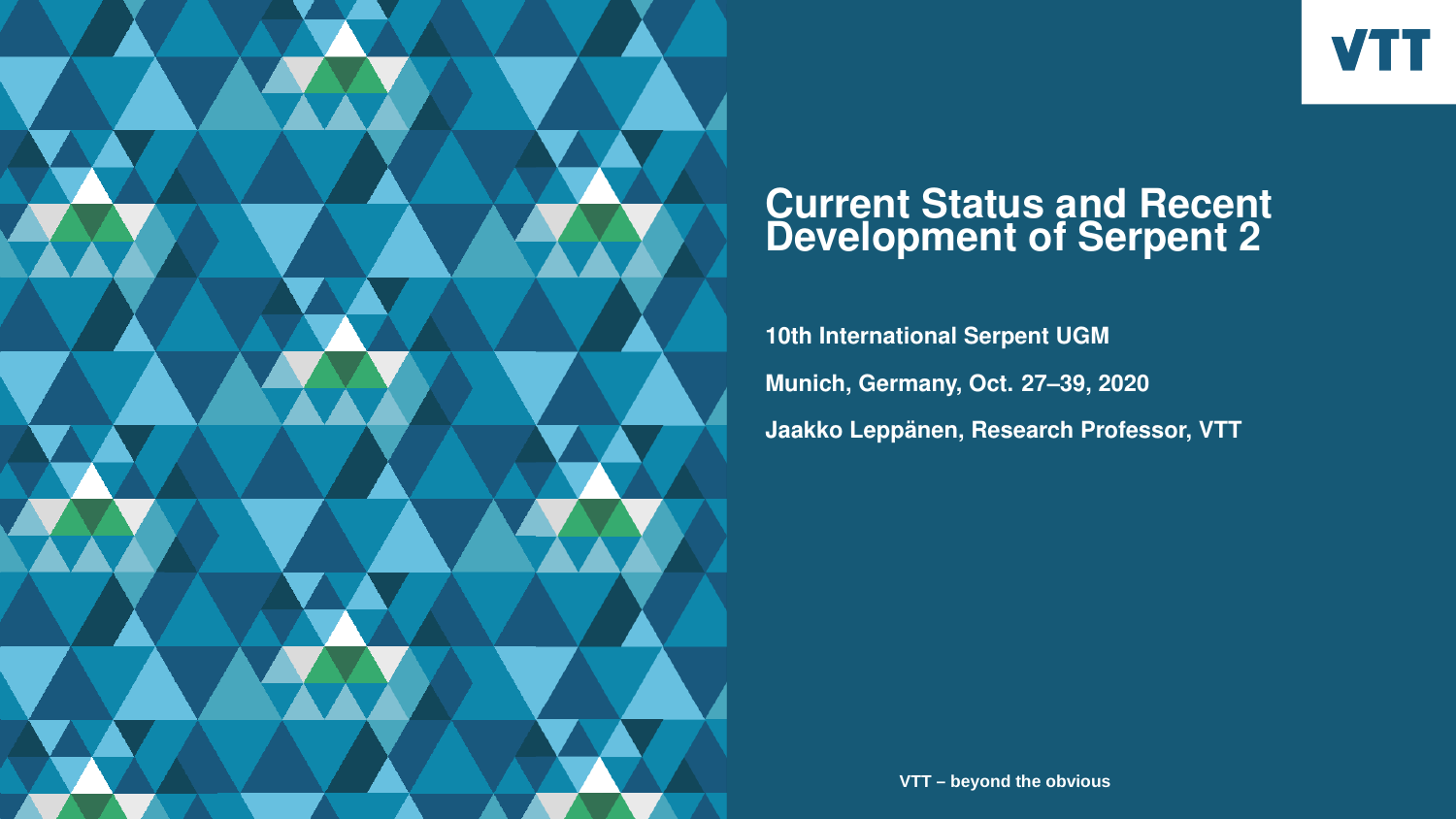

# **Current Status and Recent Development of Serpent 2**

**10th International Serpent UGM Munich, Germany, Oct. 27–39, 2020 Jaakko Leppänen, Research Professor, VTT**

**VTT – beyond the obvious**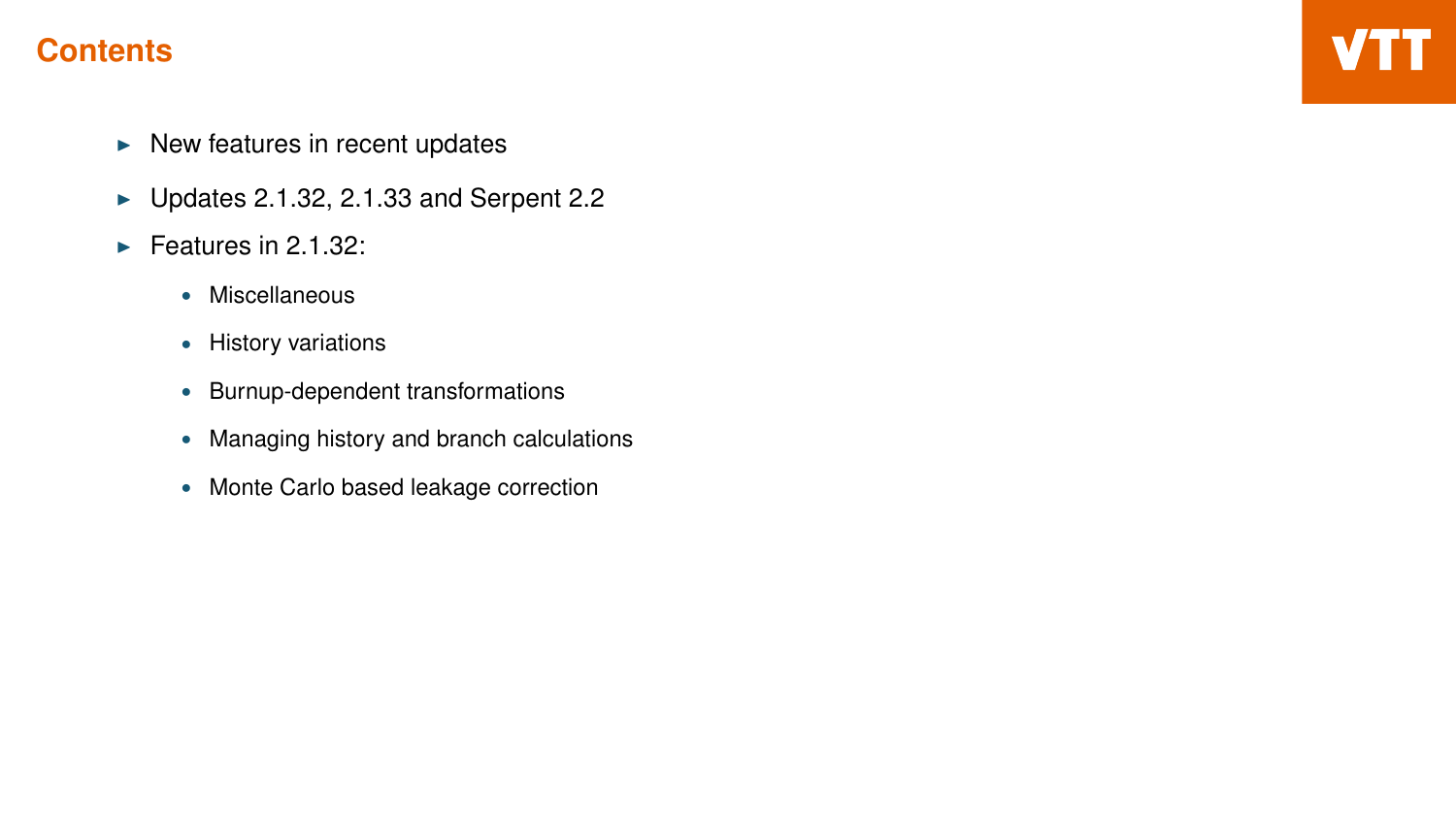# **Contents**

- $\blacktriangleright$  New features in recent updates
- $\blacktriangleright$  Updates 2.1.32, 2.1.33 and Serpent 2.2
- $\blacktriangleright$  Features in 2.1.32:
	- Miscellaneous
	- History variations
	- Burnup-dependent transformations
	- Managing history and branch calculations
	- Monte Carlo based leakage correction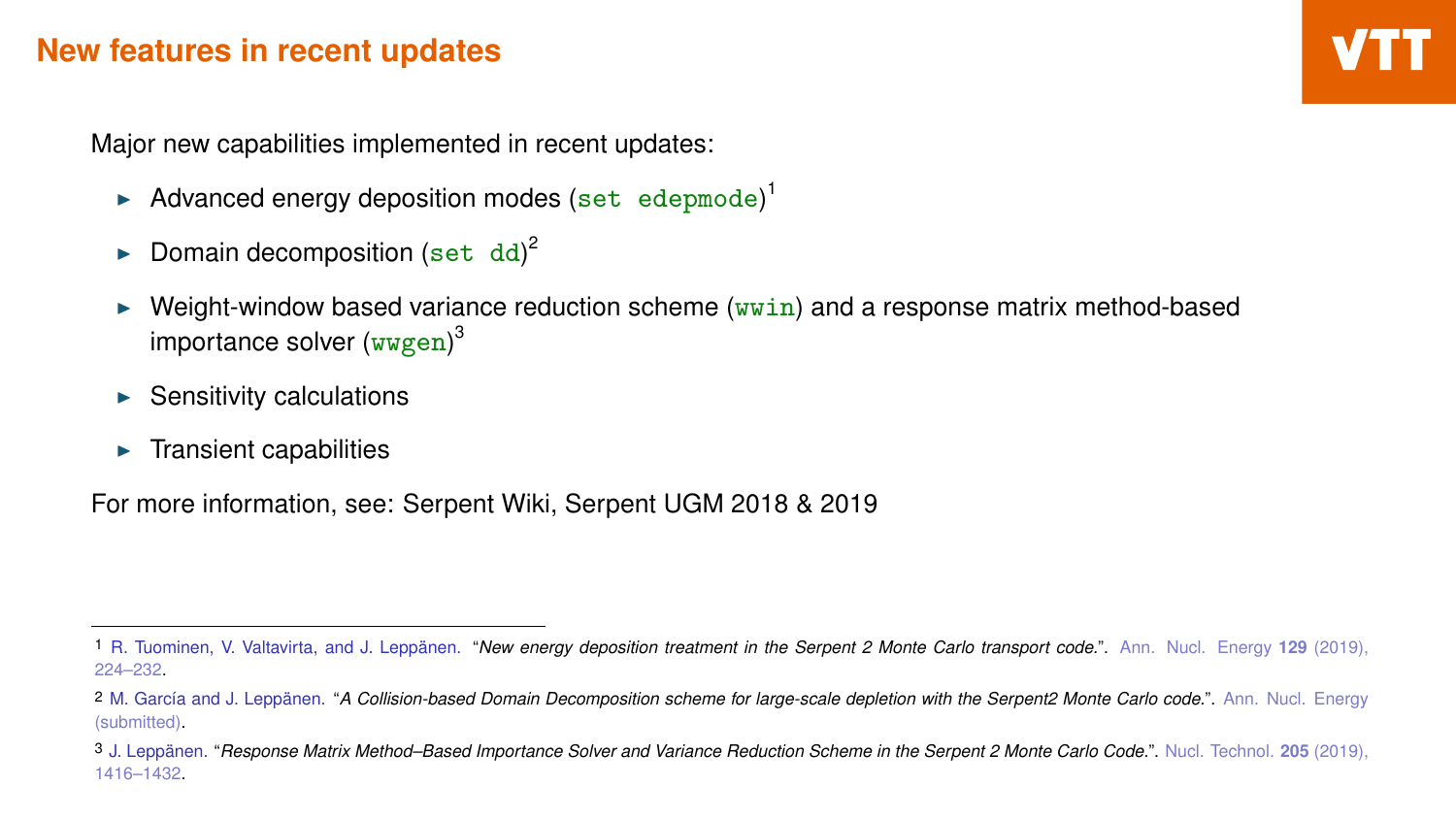### **New features in recent updates**

Major new capabilities implemented in recent updates:

- Advanced energy deposition modes (set edepmode)<sup>1</sup>
- Domain decomposition (set dd)<sup>2</sup>
- Weight-window based variance reduction scheme  $(wwin)$  and a response matrix method-based importance solver (wwgen)<sup>3</sup>
- $\blacktriangleright$  Sensitivity calculations
- **Transient capabilities**

For more information, see: Serpent Wiki, Serpent UGM 2018 & 2019

<sup>1</sup> R. Tuominen, V. Valtavirta, and J. Leppänen. "*New energy deposition treatment in the Serpent 2 Monte Carlo transport code.*". Ann. Nucl. Energy **129** (2019), 224–232.

<sup>2</sup> M. García and J. Leppänen. "*A Collision-based Domain Decomposition scheme for large-scale depletion with the Serpent2 Monte Carlo code.*". Ann. Nucl. Energy (submitted).

<sup>3</sup> J. Leppänen. "*Response Matrix Method–Based Importance Solver and Variance Reduction Scheme in the Serpent 2 Monte Carlo Code.*". Nucl. Technol. **205** (2019), 1416–1432.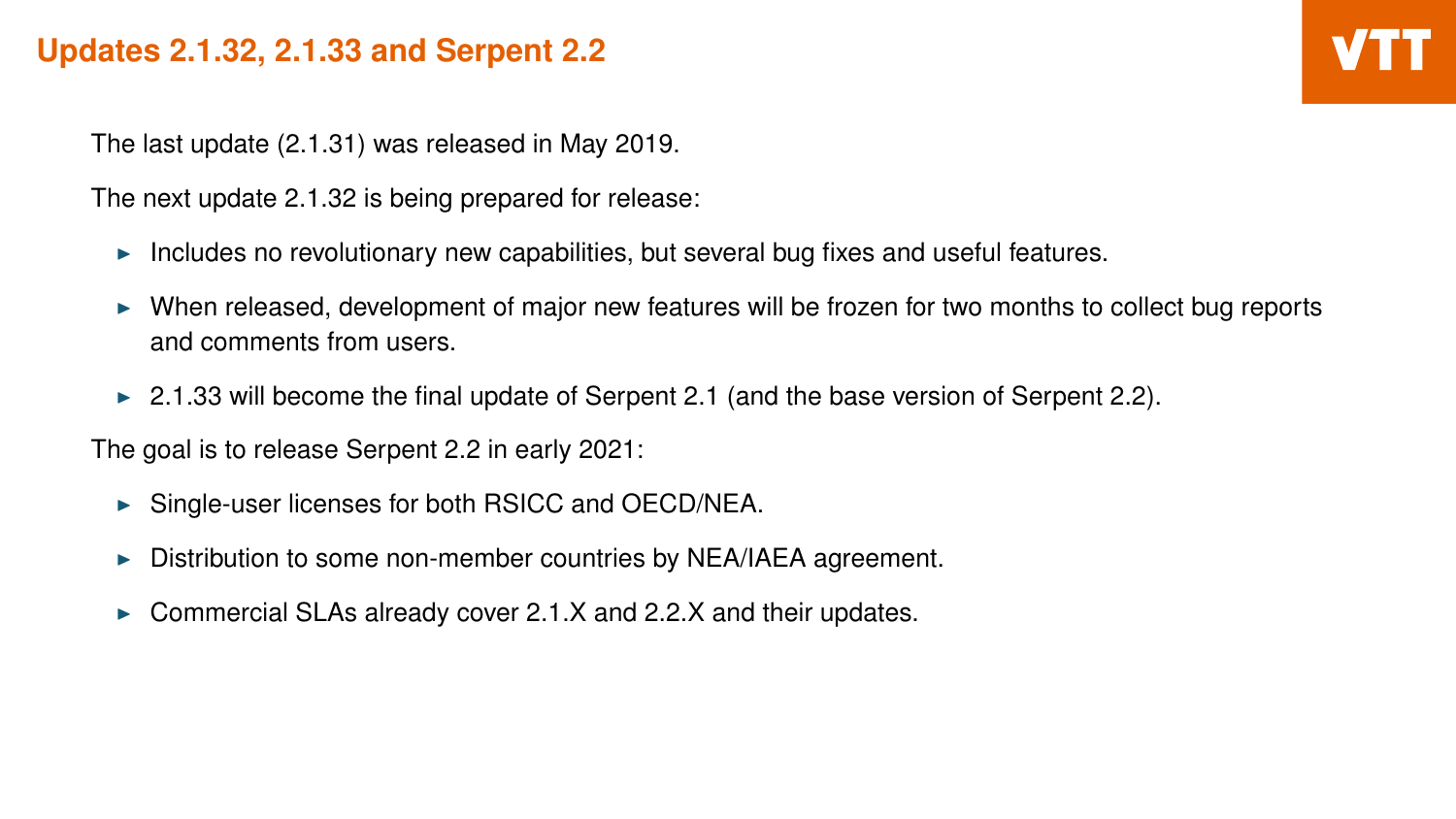# **Updates 2.1.32, 2.1.33 and Serpent 2.2**

The last update (2.1.31) was released in May 2019.

The next update 2.1.32 is being prepared for release:

- $\triangleright$  Includes no revolutionary new capabilities, but several bug fixes and useful features.
- <sup>I</sup> When released, development of major new features will be frozen for two months to collect bug reports and comments from users.
- $\triangleright$  2.1.33 will become the final update of Serpent 2.1 (and the base version of Serpent 2.2).

The goal is to release Serpent 2.2 in early 2021:

- $\triangleright$  Single-user licenses for both RSICC and OECD/NEA.
- $\triangleright$  Distribution to some non-member countries by NEA/IAEA agreement.
- Commercial SLAs already cover 2.1.X and 2.2.X and their updates.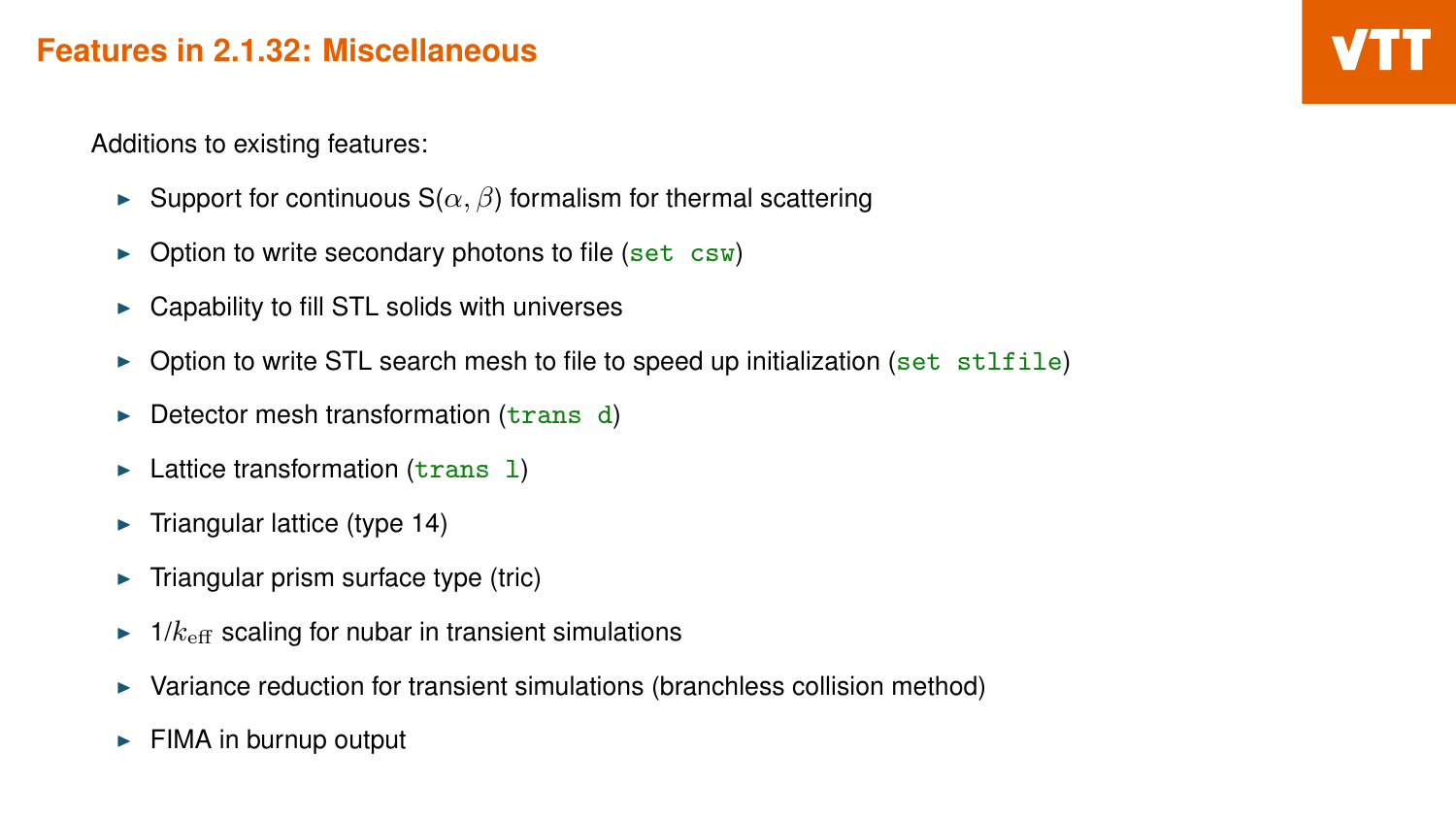### **Features in 2.1.32: Miscellaneous**

Additions to existing features:

- Support for continuous  $S(\alpha, \beta)$  formalism for thermal scattering
- $\triangleright$  Option to write secondary photons to file (set csw)
- $\triangleright$  Capability to fill STL solids with universes
- $\triangleright$  Option to write STL search mesh to file to speed up initialization (set stlfile)
- $\triangleright$  Detector mesh transformation (trans d)
- $\blacktriangleright$  Lattice transformation (trans 1)
- $\blacktriangleright$  Triangular lattice (type 14)
- $\blacktriangleright$  Triangular prism surface type (tric)
- $\blacktriangleright$  1/ $k_{\text{eff}}$  scaling for nubar in transient simulations
- $\blacktriangleright$  Variance reduction for transient simulations (branchless collision method)
- FIMA in burnup output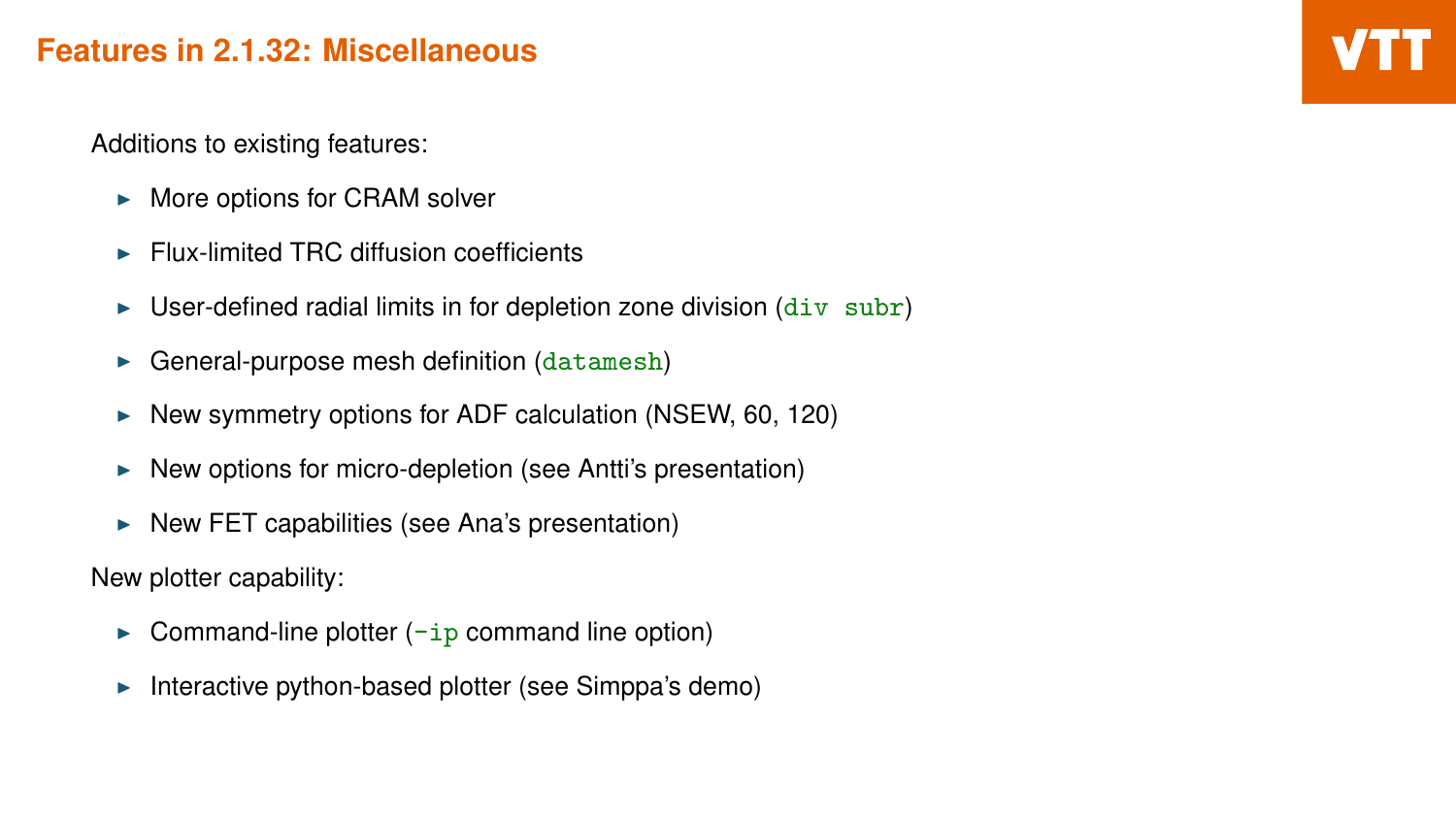### **Features in 2.1.32: Miscellaneous**

Additions to existing features:

- $\triangleright$  More options for CRAM solver
- $\blacktriangleright$  Flux-limited TRC diffusion coefficients
- $\triangleright$  User-defined radial limits in for depletion zone division (div subr)
- $\blacktriangleright$  General-purpose mesh definition (datamesh)
- $\triangleright$  New symmetry options for ADF calculation (NSEW, 60, 120)
- $\blacktriangleright$  New options for micro-depletion (see Antti's presentation)
- $\triangleright$  New FET capabilities (see Ana's presentation)

New plotter capability:

- Command-line plotter  $\left(-ip\right)$  command line option)
- Interactive python-based plotter (see Simppa's demo)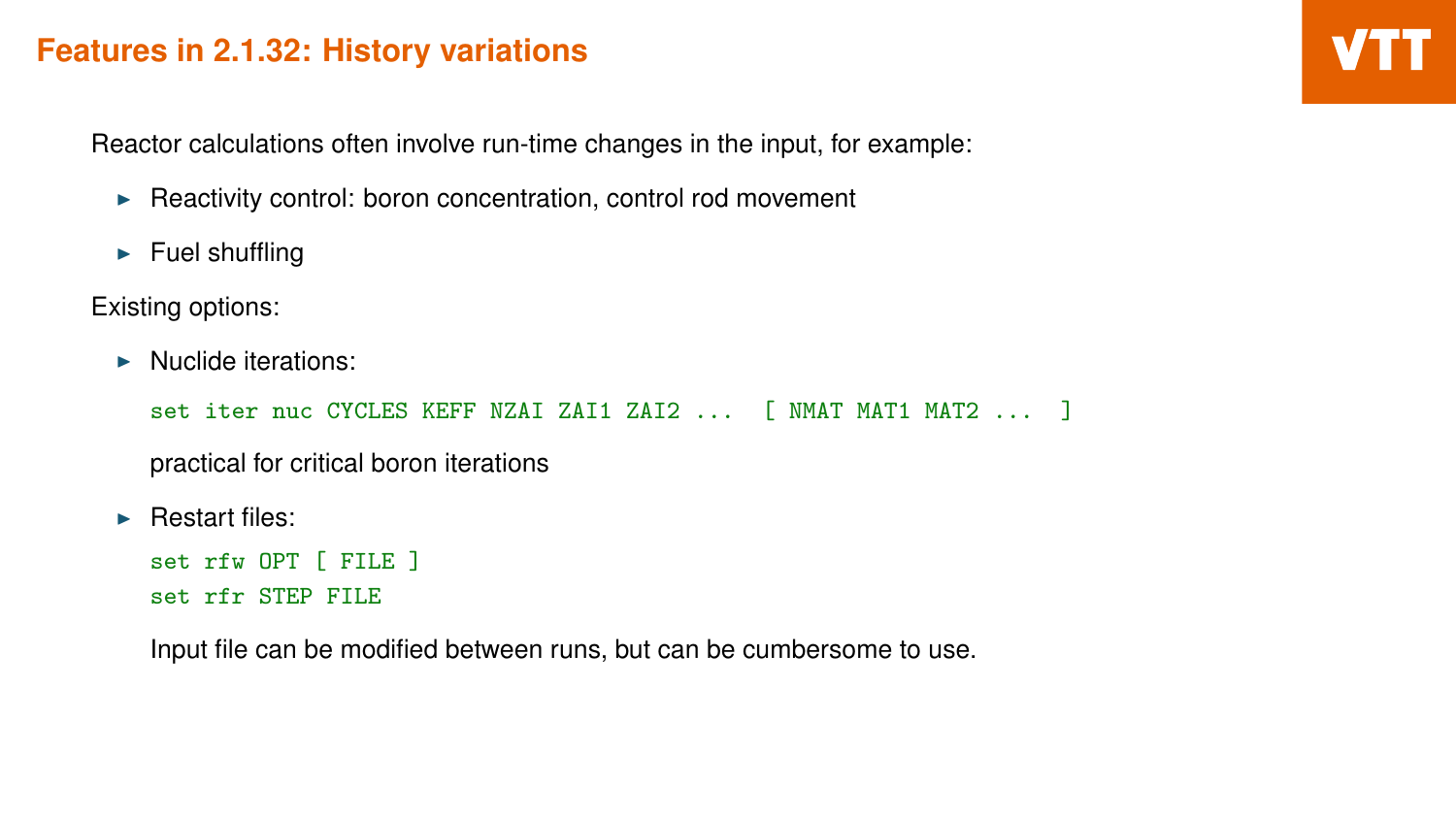### **Features in 2.1.32: History variations**

Reactor calculations often involve run-time changes in the input, for example:

- $\blacktriangleright$  Reactivity control: boron concentration, control rod movement
- $\blacktriangleright$  Fuel shuffling

Existing options:

 $\blacktriangleright$  Nuclide iterations:

set iter nuc CYCLES KEFF NZAI ZAI1 ZAI2 ... [ NMAT MAT1 MAT2 ... ]

practical for critical boron iterations

 $\blacktriangleright$  Restart files:

```
set rfw OPT [ FILE ]
set rfr STEP FILE
```
Input file can be modified between runs, but can be cumbersome to use.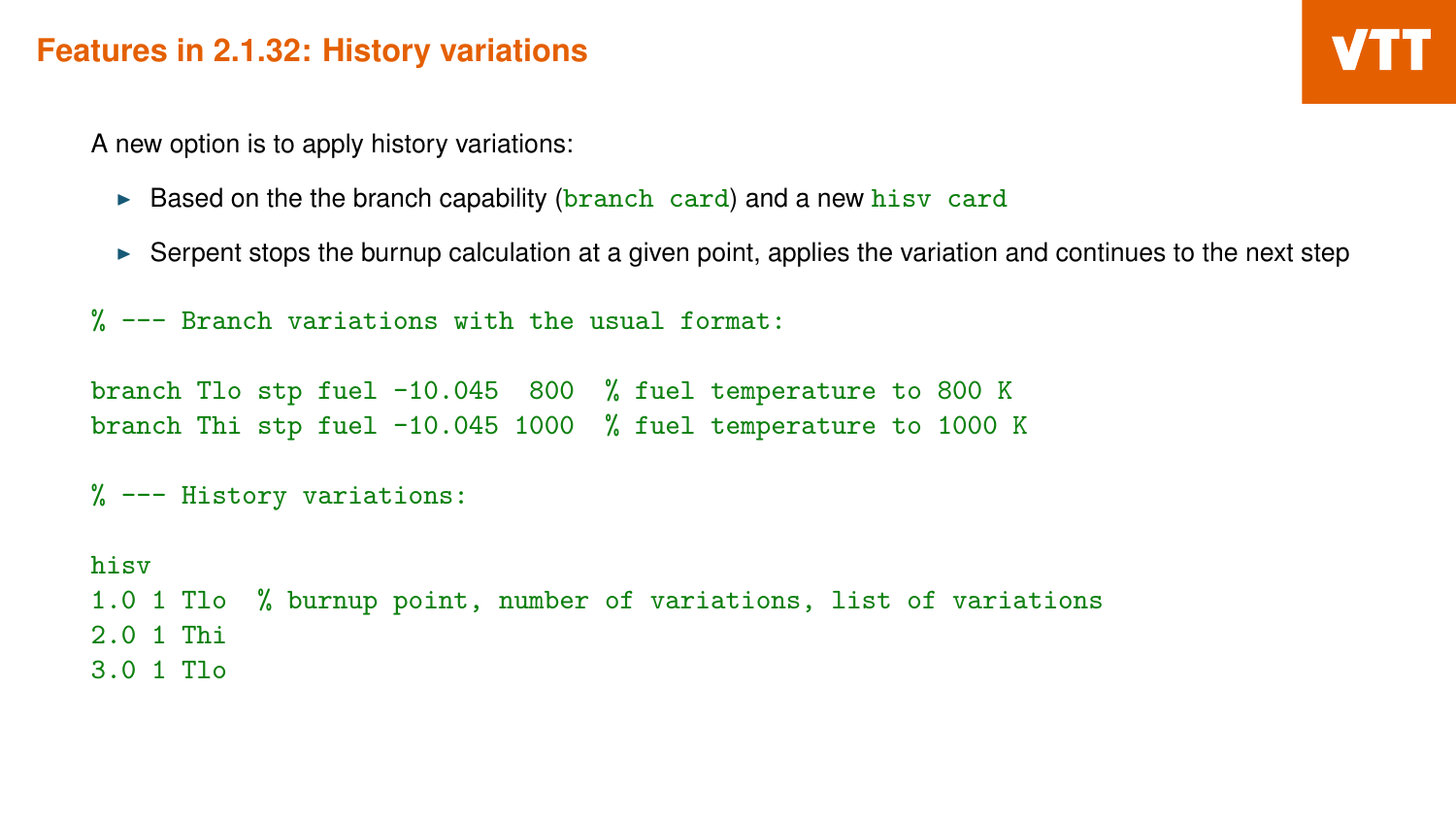### **Features in 2.1.32: History variations**

A new option is to apply history variations:

- $\triangleright$  Based on the the branch capability (branch card) and a new hisv card
- $\triangleright$  Serpent stops the burnup calculation at a given point, applies the variation and continues to the next step

% --- Branch variations with the usual format:

branch Tlo stp fuel -10.045 800 % fuel temperature to 800 K branch Thi stp fuel -10.045 1000 % fuel temperature to 1000 K

```
% --- History variations:
```
hisv 1.0 1 Tlo % burnup point, number of variations, list of variations 2.0 1 Thi 3.0 1 Tlo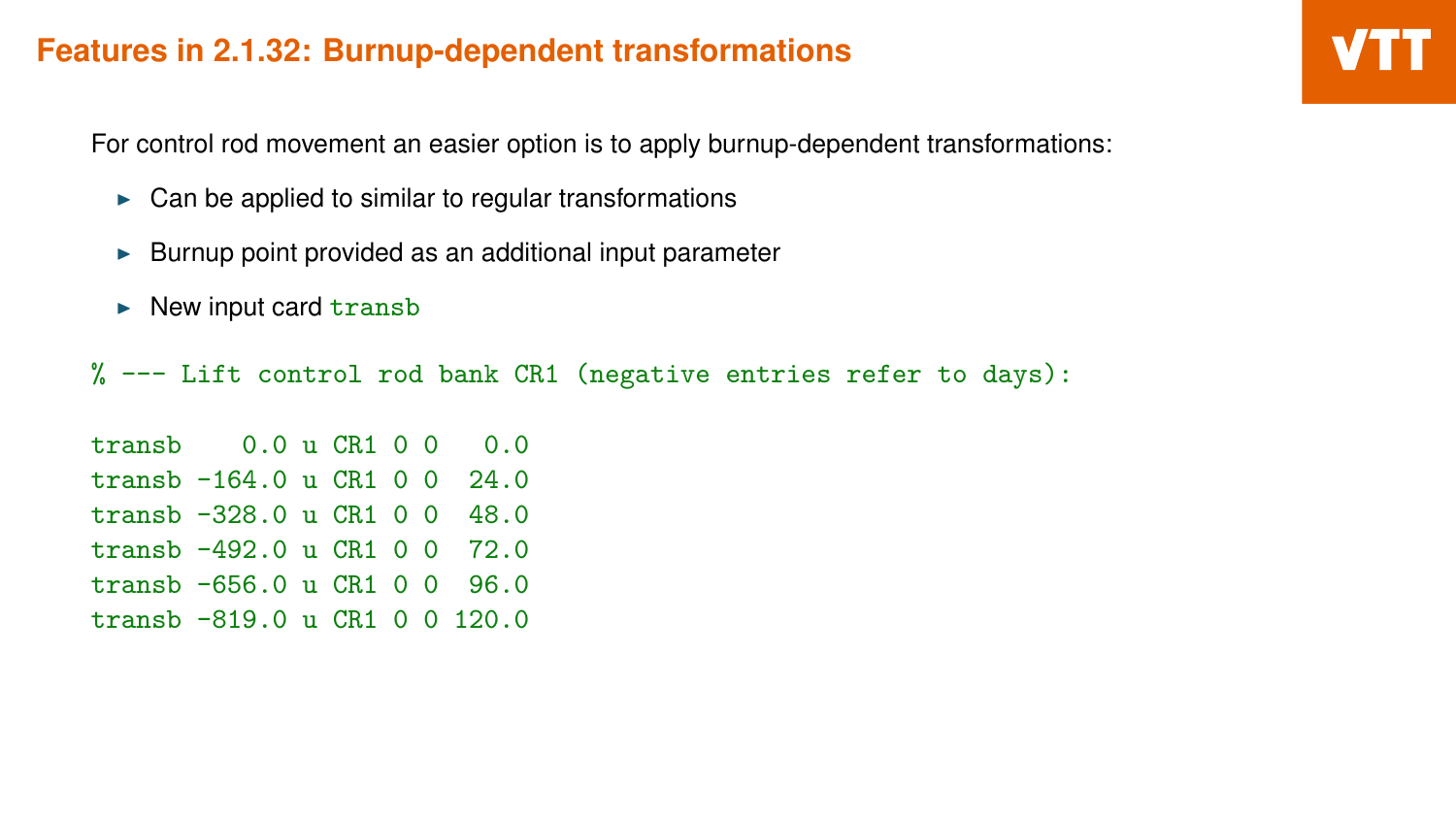### **Features in 2.1.32: Burnup-dependent transformations**

For control rod movement an easier option is to apply burnup-dependent transformations:

- $\triangleright$  Can be applied to similar to regular transformations
- $\blacktriangleright$  Burnup point provided as an additional input parameter
- $\triangleright$  New input card transb

% --- Lift control rod bank CR1 (negative entries refer to days):

transb 0.0 u CR1 0 0 0.0 transb -164.0 u CR1 0 0 24.0 transb -328.0 u CR1 0 0 48.0 transb -492.0 u CR1 0 0 72.0 transb -656.0 u CR1 0 0 96.0 transb -819.0 u CR1 0 0 120.0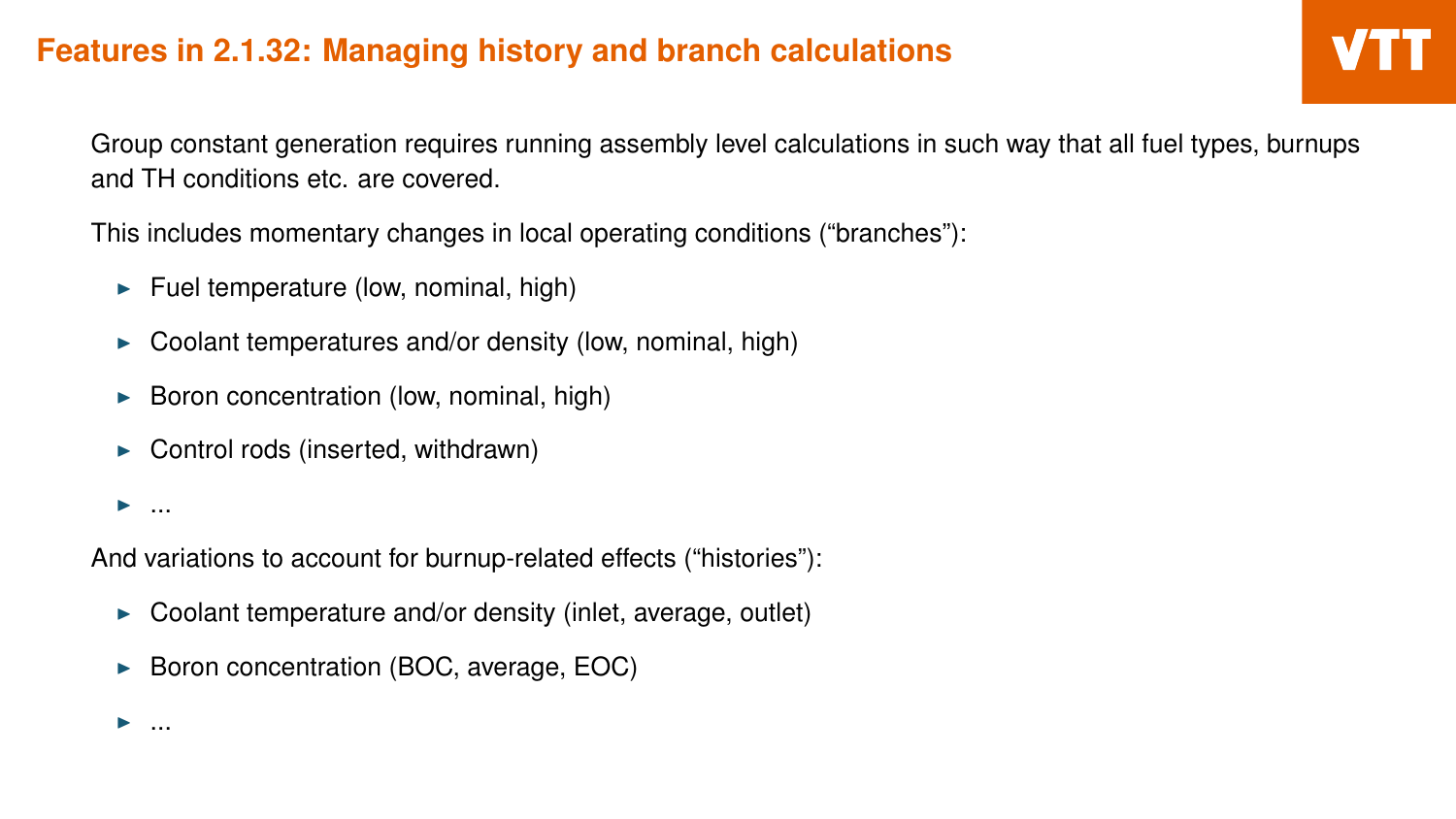Group constant generation requires running assembly level calculations in such way that all fuel types, burnups and TH conditions etc. are covered.

This includes momentary changes in local operating conditions ("branches"):

- Fuel temperature (low, nominal, high)
- $\triangleright$  Coolant temperatures and/or density (low, nominal, high)
- $\blacktriangleright$  Boron concentration (low, nominal, high)
- Control rods (inserted, withdrawn)

 $\blacktriangleright$  ...

And variations to account for burnup-related effects ("histories"):

- $\triangleright$  Coolant temperature and/or density (inlet, average, outlet)
- Boron concentration (BOC, average, EOC)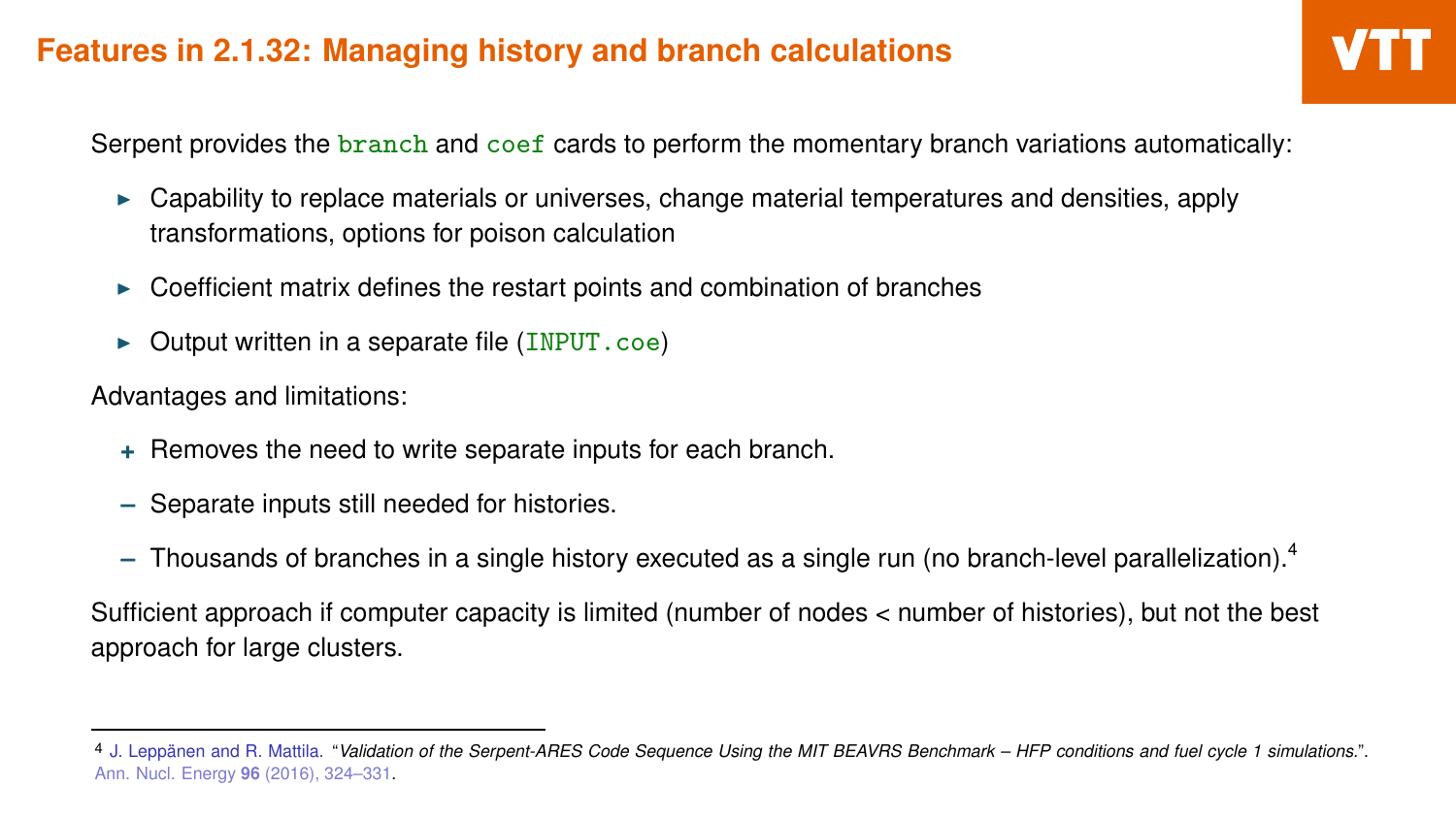Serpent provides the branch and coef cards to perform the momentary branch variations automatically:

- $\triangleright$  Capability to replace materials or universes, change material temperatures and densities, apply transformations, options for poison calculation
- Coefficient matrix defines the restart points and combination of branches
- $\triangleright$  Output written in a separate file (INPUT.coe)

Advantages and limitations:

- **+** Removes the need to write separate inputs for each branch.
- **–** Separate inputs still needed for histories.
- **–** Thousands of branches in a single history executed as a single run (no branch-level parallelization).<sup>4</sup>

Sufficient approach if computer capacity is limited (number of nodes < number of histories), but not the best approach for large clusters.

<sup>4</sup> J. Leppänen and R. Mattila. "*Validation of the Serpent-ARES Code Sequence Using the MIT BEAVRS Benchmark – HFP conditions and fuel cycle 1 simulations.*". Ann. Nucl. Energy **96** (2016), 324–331.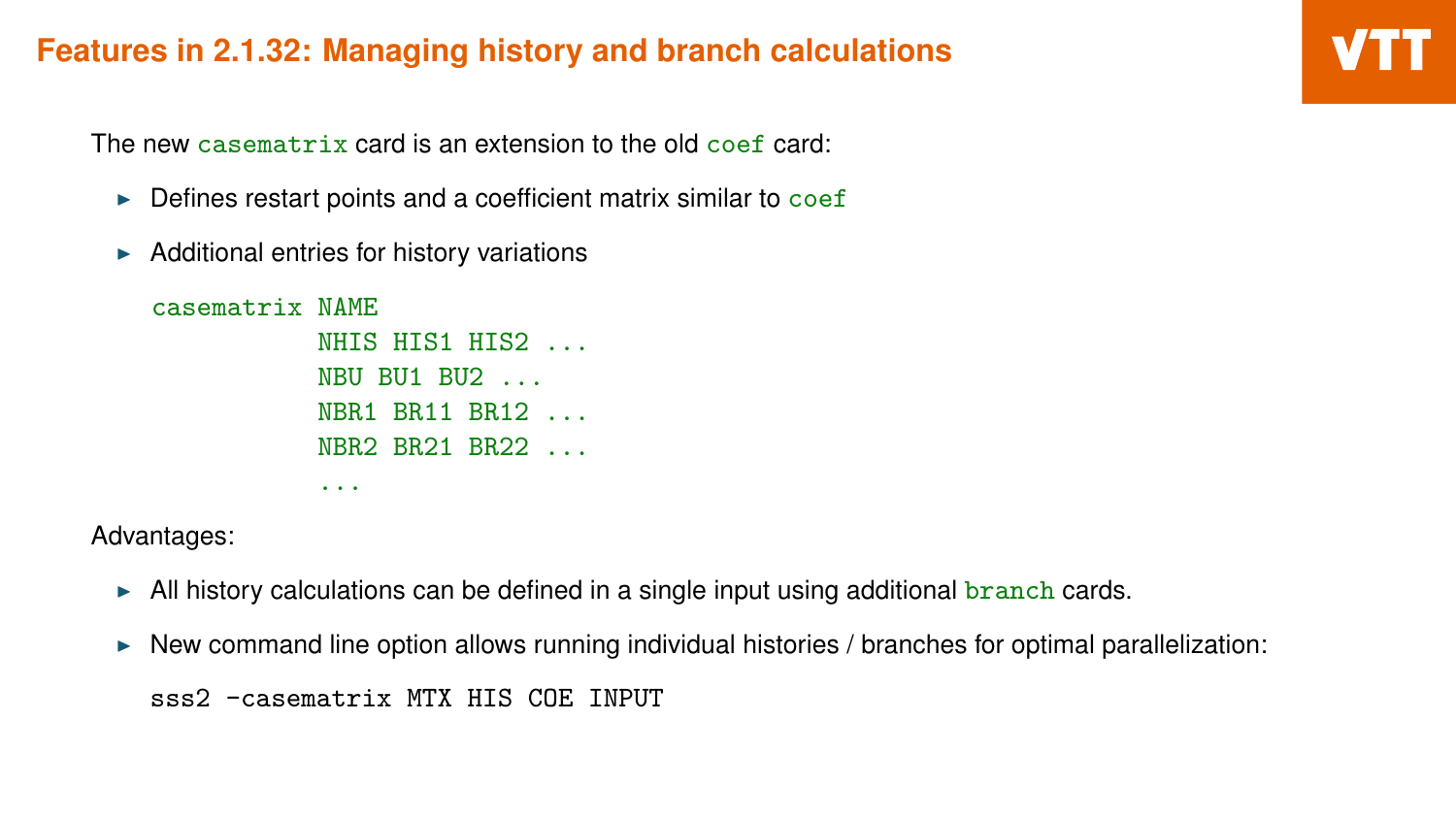The new casematrix card is an extension to the old coef card:

- $\triangleright$  Defines restart points and a coefficient matrix similar to coef
- $\blacktriangleright$  Additional entries for history variations

```
casematrix NAME
           NHIS HIS1 HIS2
           NBU BU1 BU2 ...
           NBR1 BR11 BR12 ...
           NBR2 BR21 BR22 ...
           ...
```
Advantages:

- $\blacktriangleright$  All history calculations can be defined in a single input using additional branch cards.
- $\triangleright$  New command line option allows running individual histories / branches for optimal parallelization:

```
sss2 -casematrix MTX HIS COE INPUT
```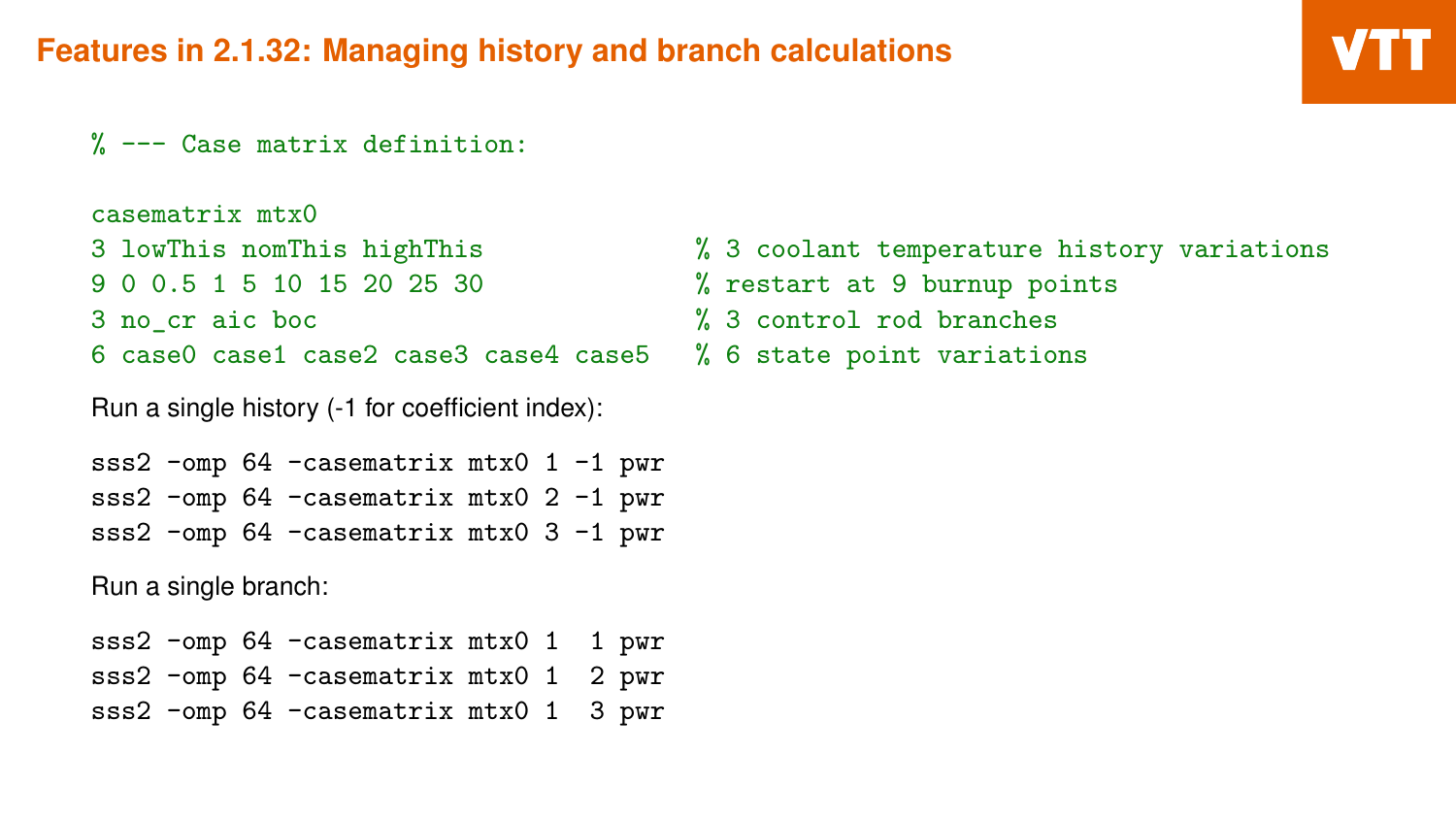```
% --- Case matrix definition:
```

```
casematrix mtx0
9 0 0.5 1 5 10 15 20 25 30 % restart at 9 burnup points
3 no_cr aic boc % 3 control rod branches
6 case0 case1 case2 case3 case4 case5 % 6 state point variations
```
Run a single history (-1 for coefficient index):

```
sss2 -omp 64 -casematrix mtx0 1 -1 pwr
sss2 -omp 64 -casematrix mtx0 2 -1 pwr
sss2 -omp 64 -casematrix mtx0 3 -1 pwr
```
Run a single branch:

|  | sss2 -omp 64 -casematrix mtx0 1 1 pwr |  |  |
|--|---------------------------------------|--|--|
|  | sss2 -omp 64 -casematrix mtx0 1 2 pwr |  |  |
|  | sss2 -omp 64 -casematrix mtx0 1 3 pwr |  |  |

- 3 lowThis nomThis highThis % 3 coolant temperature history variations
	-
	-
	-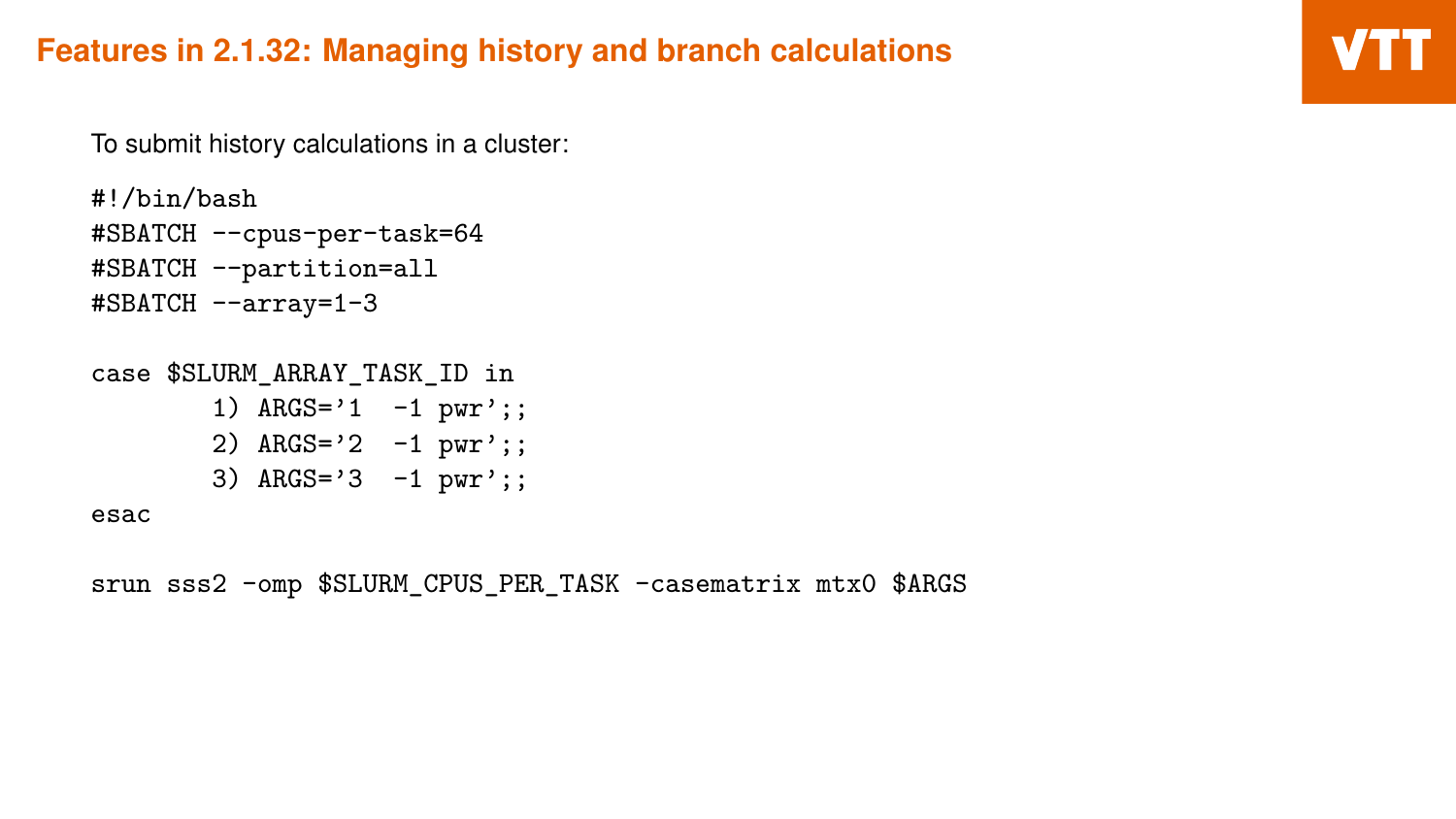To submit history calculations in a cluster:

```
#!/bin/bash
#SBATCH --cpus-per-task=64
#SBATCH --partition=all
#SBATCH --array=1-3
```
case \$SLURM\_ARRAY\_TASK\_ID in

1)  $ARGS='1 -1 pwr';;$ 2) ARGS='2 -1 pwr';; 3) ARGS='3 -1 pwr';;

esac

srun sss2 -omp \$SLURM\_CPUS\_PER\_TASK -casematrix mtx0 \$ARGS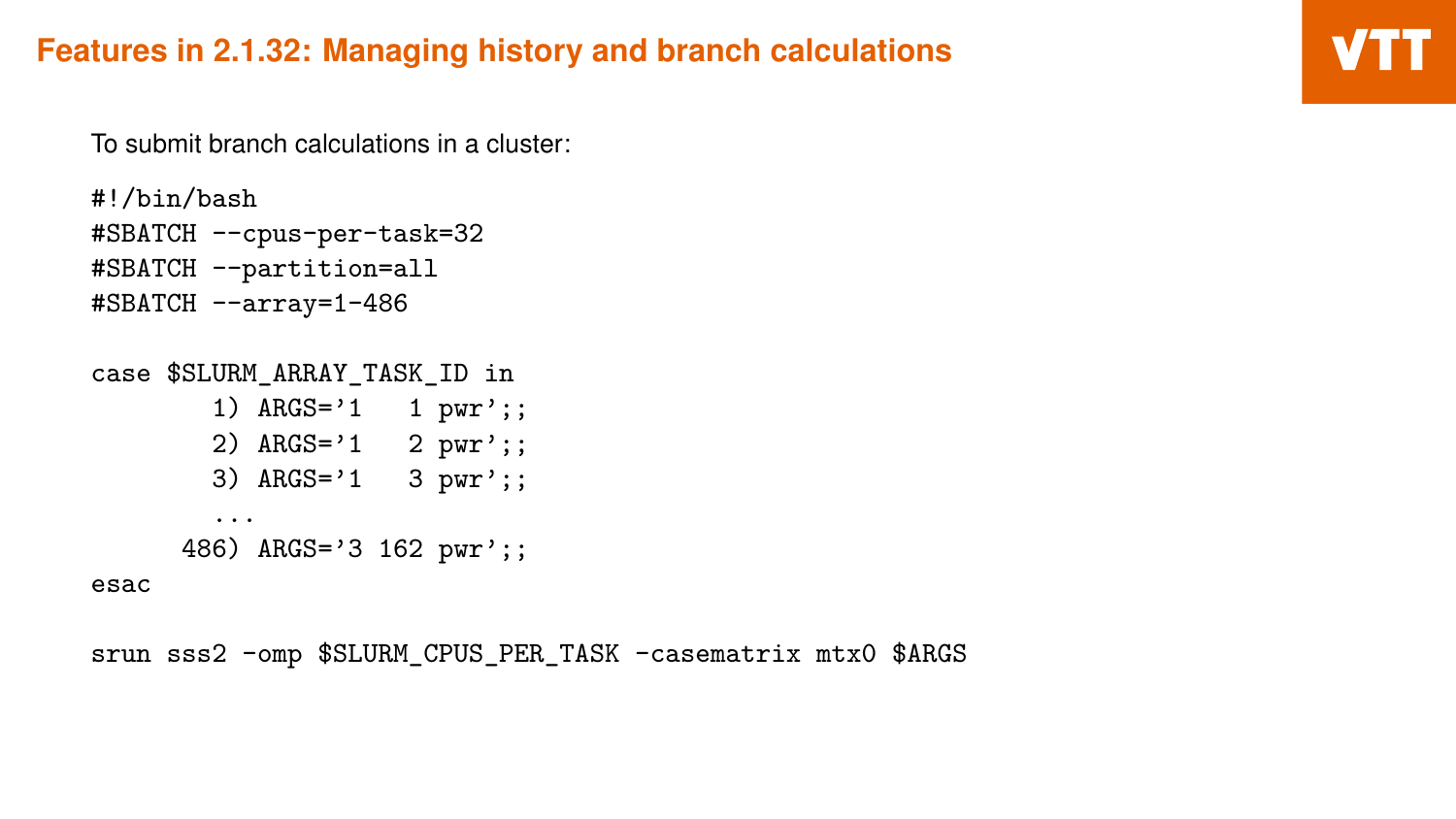To submit branch calculations in a cluster:

```
#!/bin/bash
#SBATCH --cpus-per-task=32
#SBATCH --partition=all
#SBATCH --array=1-486
```
case \$SLURM\_ARRAY\_TASK\_ID in

```
1) ARGS='1 \t1 pwr';;2) ARGS='1 2 pwr';;
  3) ARGS='1 3 pwr';;
  ...
486) ARGS='3 162 pwr';;
```
esac

srun sss2 -omp \$SLURM\_CPUS\_PER\_TASK -casematrix mtx0 \$ARGS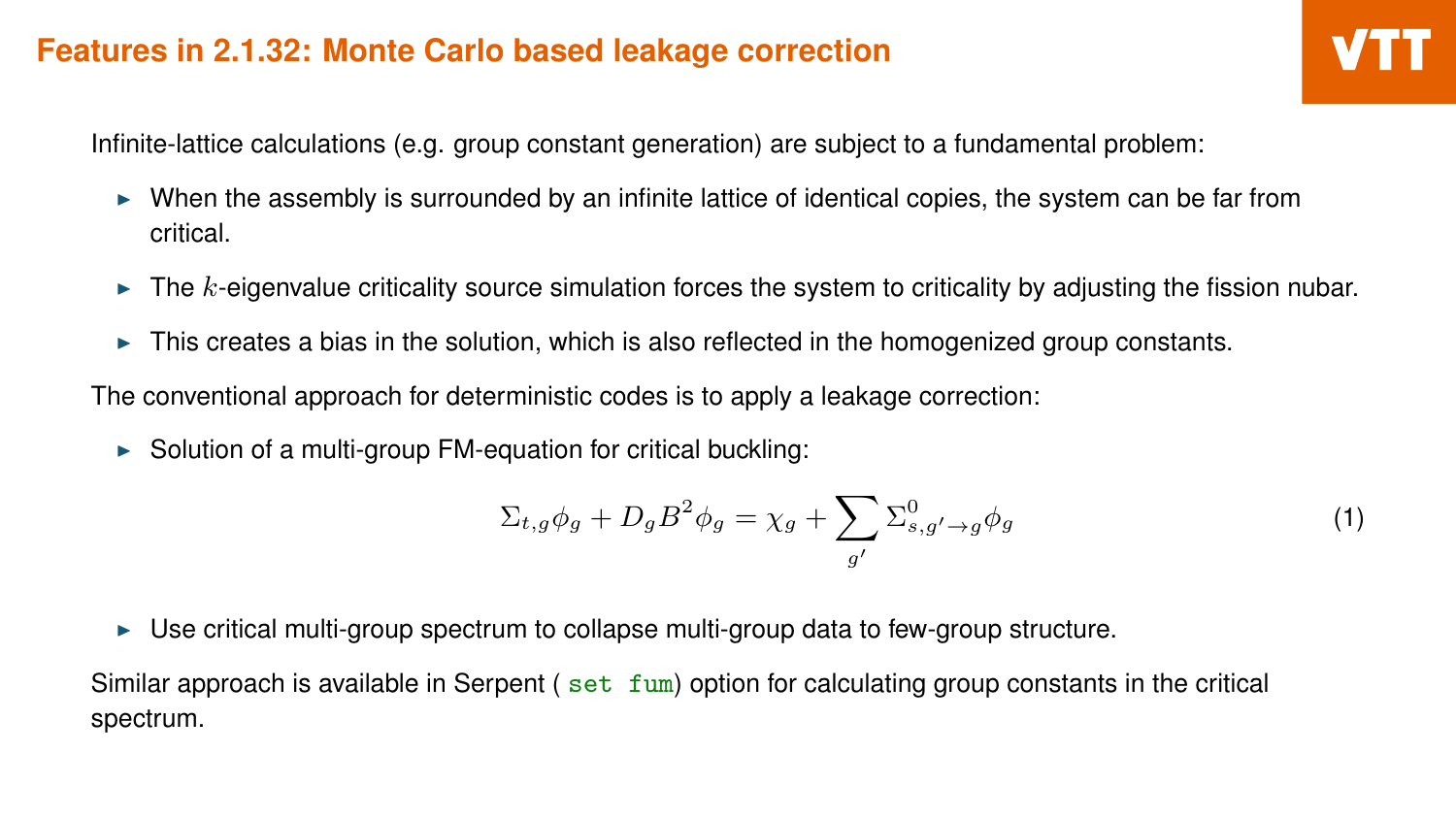Infinite-lattice calculations (e.g. group constant generation) are subject to a fundamental problem:

- $\triangleright$  When the assembly is surrounded by an infinite lattice of identical copies, the system can be far from critical.
- $\triangleright$  The *k*-eigenvalue criticality source simulation forces the system to criticality by adjusting the fission nubar.
- $\triangleright$  This creates a bias in the solution, which is also reflected in the homogenized group constants.

The conventional approach for deterministic codes is to apply a leakage correction:

 $\triangleright$  Solution of a multi-group FM-equation for critical buckling:

$$
\Sigma_{t,g}\phi_g + D_g B^2 \phi_g = \chi_g + \sum_{g'} \Sigma^0_{s,g' \to g} \phi_g \tag{1}
$$

 $\triangleright$  Use critical multi-group spectrum to collapse multi-group data to few-group structure.

Similar approach is available in Serpent ( $set_{\text{tum}}$ ) option for calculating group constants in the critical spectrum.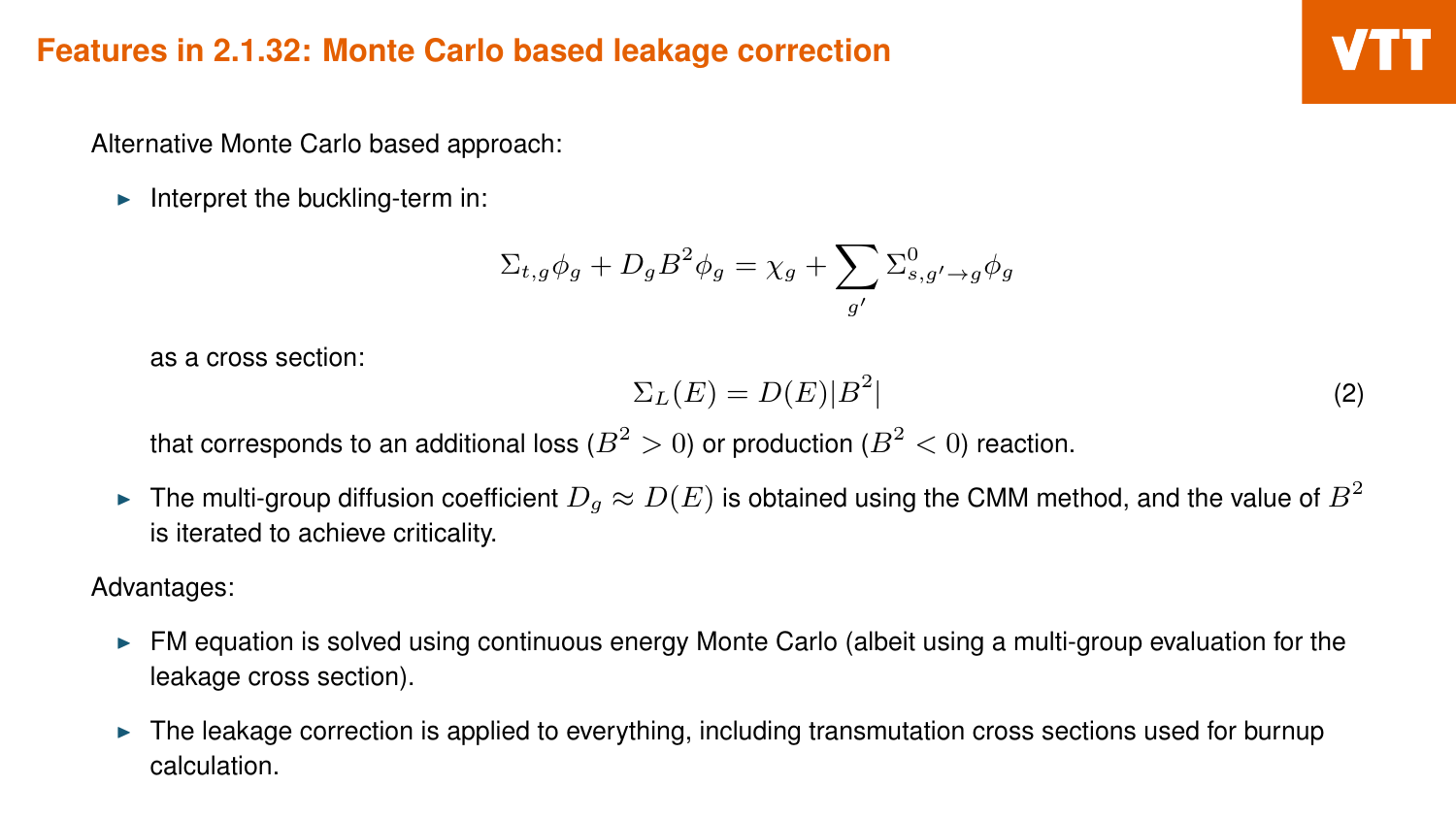Alternative Monte Carlo based approach:

 $\blacktriangleright$  Interpret the buckling-term in:

$$
\Sigma_{t,g}\phi_g + D_g B^2 \phi_g = \chi_g + \sum_{g'} \Sigma_{s,g'\to g}^0 \phi_g
$$

as a cross section:

$$
\Sigma_L(E) = D(E)|B^2| \tag{2}
$$

that corresponds to an additional loss  $(B^2>0)$  or production  $(B^2< 0)$  reaction.

► The multi-group diffusion coefficient  $D_g \approx D(E)$  is obtained using the CMM method, and the value of  $B^2$ is iterated to achieve criticality.

Advantages:

- FM equation is solved using continuous energy Monte Carlo (albeit using a multi-group evaluation for the leakage cross section).
- The leakage correction is applied to everything, including transmutation cross sections used for burnup calculation.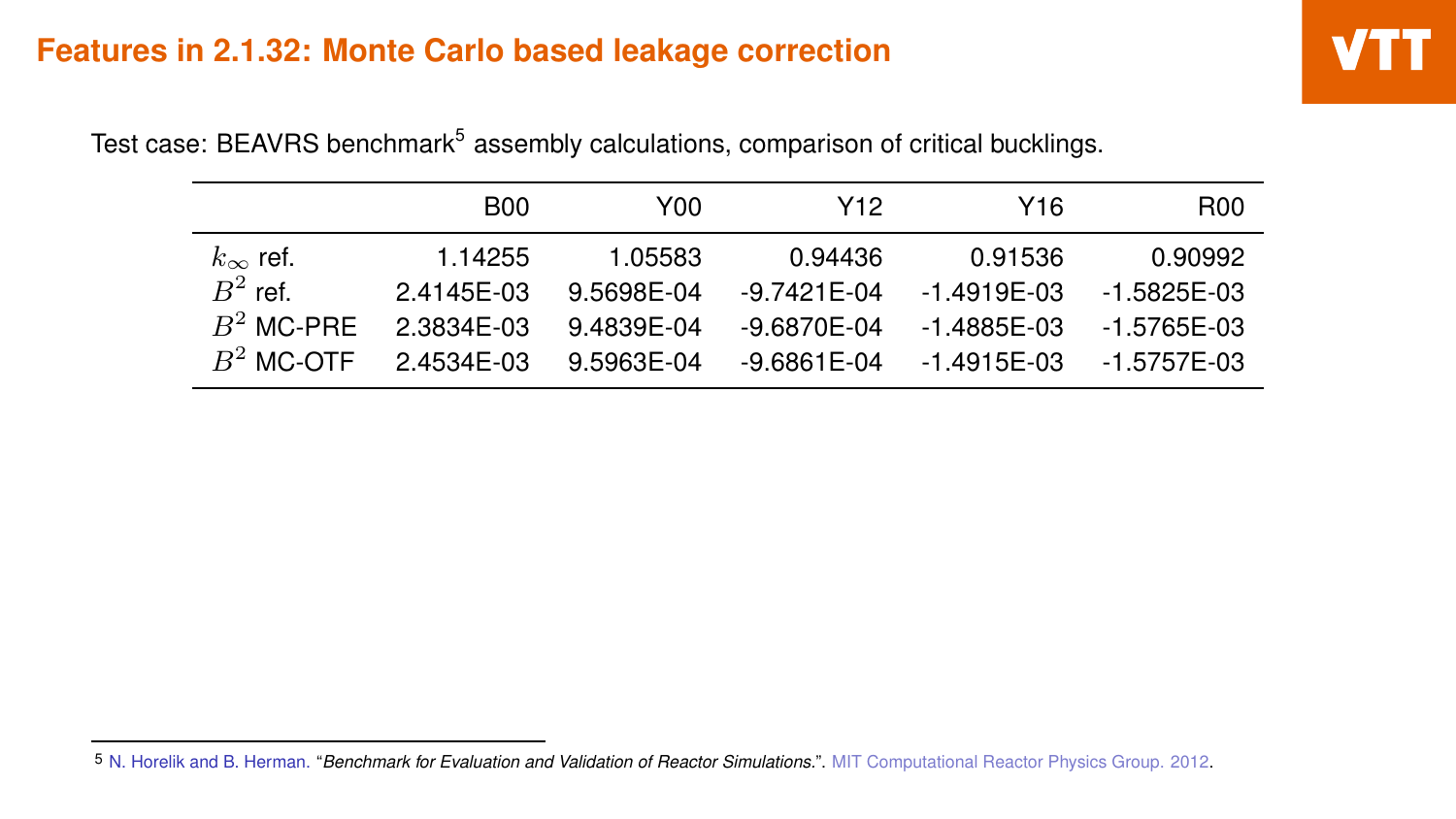|                   | <b>B00</b> | Y00        | Y12             | Y16              | <b>R00</b>    |
|-------------------|------------|------------|-----------------|------------------|---------------|
| $k_{\infty}$ ref. | 1.14255    | 1.05583    | 0.94436         | 0.91536          | 0.90992       |
| $B^2$ ref.        | 2.4145F-03 | 9.5698F-04 | $-9.7421F - 04$ | $-1.4919F - 0.3$ | $-1.5825F-03$ |
| $B^2$ MC-PRF      | 2.3834F-03 | 9.4839F-04 | $-9.6870F - 04$ | $-1.4885F - 0.3$ | -1.5765E-03   |
| $B^2$ MC-OTF      | 2.4534F-03 | 9.5963F-04 | $-9.6861F - 04$ | $-1.4915F - 0.3$ | -1.5757E-03   |

Test case: BEAVRS benchmark<sup>5</sup> assembly calculations, comparison of critical bucklings.

<sup>5</sup> N. Horelik and B. Herman. "*Benchmark for Evaluation and Validation of Reactor Simulations.*". MIT Computational Reactor Physics Group. 2012.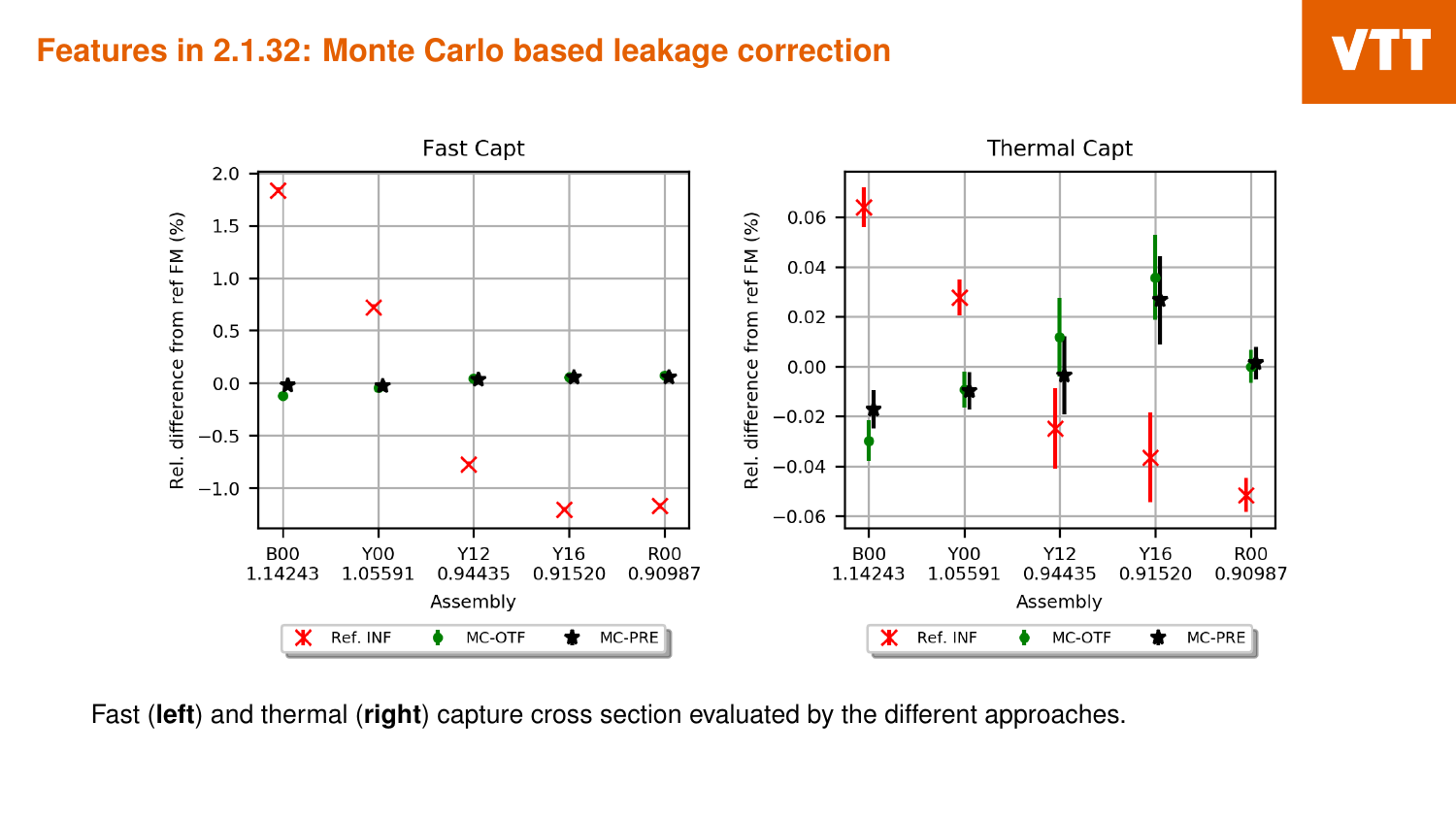



Fast (**left**) and thermal (**right**) capture cross section evaluated by the different approaches.